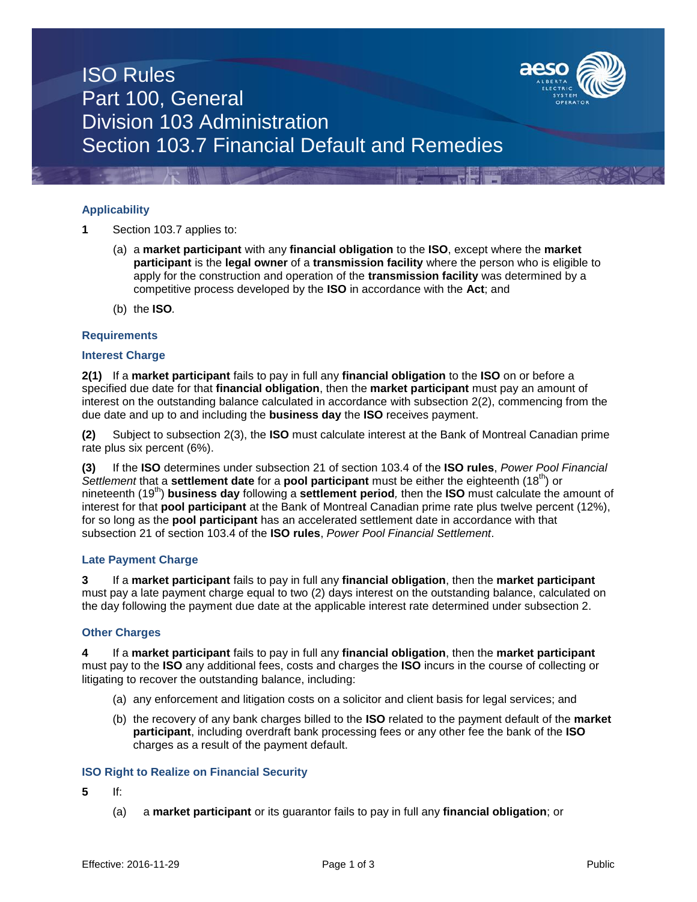

# ISO Rules Part 100, General Division 103 Administration Section 103.7 Financial Default and Remedies

## **Applicability**

- **1** Section 103.7 applies to:
	- (a) a **market participant** with any **financial obligation** to the **ISO**, except where the **market participant** is the **legal owner** of a **transmission facility** where the person who is eligible to apply for the construction and operation of the **transmission facility** was determined by a competitive process developed by the **ISO** in accordance with the **Act**; and
	- (b) the **ISO***.*

### **Requirements**

### **Interest Charge**

**2(1)** If a **market participant** fails to pay in full any **financial obligation** to the **ISO** on or before a specified due date for that **financial obligation**, then the **market participant** must pay an amount of interest on the outstanding balance calculated in accordance with subsection 2(2), commencing from the due date and up to and including the **business day** the **ISO** receives payment.

**(2)** Subject to subsection 2(3), the **ISO** must calculate interest at the Bank of Montreal Canadian prime rate plus six percent (6%).

**(3)** If the **ISO** determines under subsection 21 of section 103.4 of the **ISO rules**, *Power Pool Financial Settlement* that a **settlement date** for a **pool participant** must be either the eighteenth (18th) or nineteenth (19th) **business day** following a **settlement period***,* then the **ISO** must calculate the amount of interest for that **pool participant** at the Bank of Montreal Canadian prime rate plus twelve percent (12%), for so long as the **pool participant** has an accelerated settlement date in accordance with that subsection 21 of section 103.4 of the **ISO rules**, *Power Pool Financial Settlement*.

### **Late Payment Charge**

**3** If a **market participant** fails to pay in full any **financial obligation**, then the **market participant** must pay a late payment charge equal to two (2) days interest on the outstanding balance, calculated on the day following the payment due date at the applicable interest rate determined under subsection 2.

### **Other Charges**

**4** If a **market participant** fails to pay in full any **financial obligation**, then the **market participant** must pay to the **ISO** any additional fees, costs and charges the **ISO** incurs in the course of collecting or litigating to recover the outstanding balance, including:

- (a) any enforcement and litigation costs on a solicitor and client basis for legal services; and
- (b) the recovery of any bank charges billed to the **ISO** related to the payment default of the **market participant**, including overdraft bank processing fees or any other fee the bank of the **ISO** charges as a result of the payment default.

### **ISO Right to Realize on Financial Security**

**5** If:

(a) a **market participant** or its guarantor fails to pay in full any **financial obligation**; or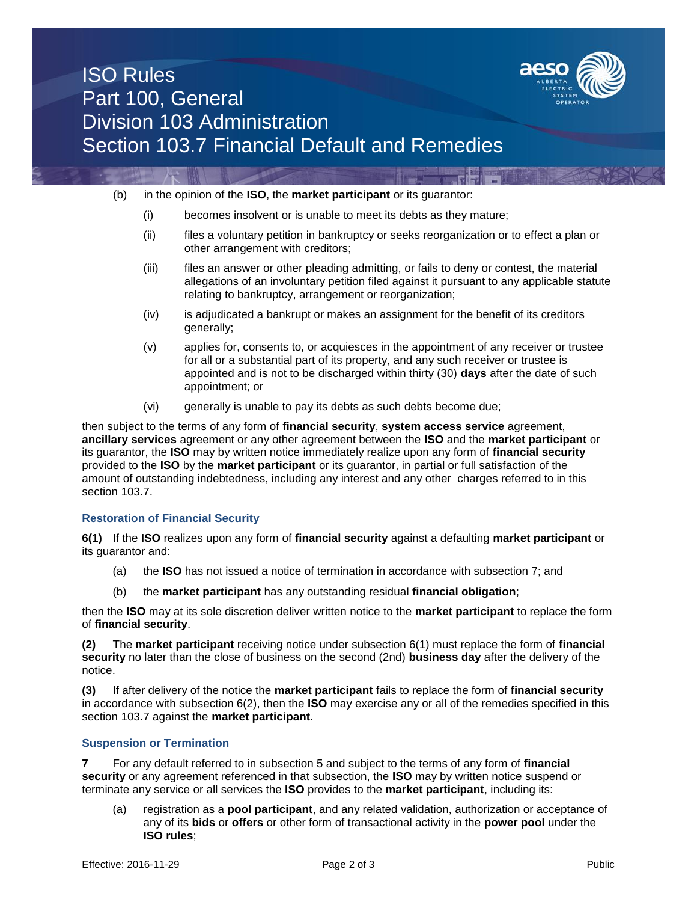

## ISO Rules Part 100, General Division 103 Administration Section 103.7 Financial Default and Remedies

- (b) in the opinion of the **ISO**, the **market participant** or its guarantor:
	- (i) becomes insolvent or is unable to meet its debts as they mature;
	- (ii) files a voluntary petition in bankruptcy or seeks reorganization or to effect a plan or other arrangement with creditors;
	- (iii) files an answer or other pleading admitting, or fails to deny or contest, the material allegations of an involuntary petition filed against it pursuant to any applicable statute relating to bankruptcy, arrangement or reorganization;
	- (iv) is adjudicated a bankrupt or makes an assignment for the benefit of its creditors generally;
	- (v) applies for, consents to, or acquiesces in the appointment of any receiver or trustee for all or a substantial part of its property, and any such receiver or trustee is appointed and is not to be discharged within thirty (30) **days** after the date of such appointment; or
	- (vi) generally is unable to pay its debts as such debts become due;

then subject to the terms of any form of **financial security**, **system access service** agreement, **ancillary services** agreement or any other agreement between the **ISO** and the **market participant** or its guarantor, the **ISO** may by written notice immediately realize upon any form of **financial security**  provided to the **ISO** by the **market participant** or its guarantor, in partial or full satisfaction of the amount of outstanding indebtedness, including any interest and any other charges referred to in this section 103.7.

### **Restoration of Financial Security**

**6(1)** If the **ISO** realizes upon any form of **financial security** against a defaulting **market participant** or its guarantor and:

- (a) the **ISO** has not issued a notice of termination in accordance with subsection 7; and
- (b) the **market participant** has any outstanding residual **financial obligation**;

then the **ISO** may at its sole discretion deliver written notice to the **market participant** to replace the form of **financial security**.

**(2)** The **market participant** receiving notice under subsection 6(1) must replace the form of **financial security** no later than the close of business on the second (2nd) **business day** after the delivery of the notice.

**(3)** If after delivery of the notice the **market participant** fails to replace the form of **financial security**  in accordance with subsection 6(2), then the **ISO** may exercise any or all of the remedies specified in this section 103.7 against the **market participant**.

### **Suspension or Termination**

**7** For any default referred to in subsection 5 and subject to the terms of any form of **financial security** or any agreement referenced in that subsection, the **ISO** may by written notice suspend or terminate any service or all services the **ISO** provides to the **market participant**, including its:

(a) registration as a **pool participant**, and any related validation, authorization or acceptance of any of its **bids** or **offers** or other form of transactional activity in the **power pool** under the **ISO rules**;